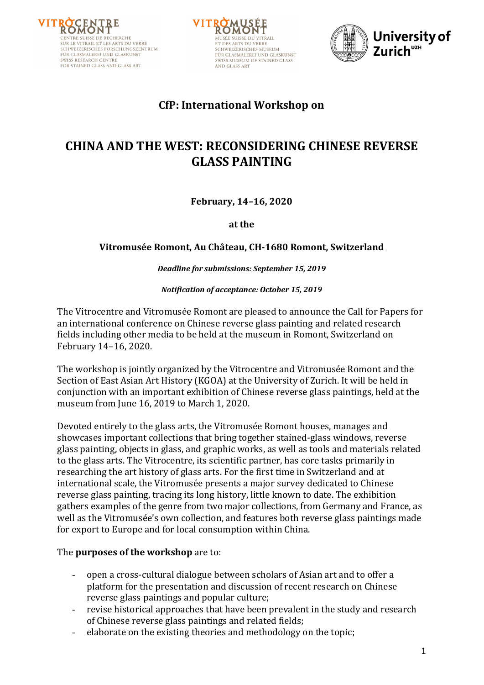





# **CfP: International Workshop on**

# **CHINA AND THE WEST: RECONSIDERING CHINESE REVERSE GLASS PAINTING**

**February, 14–16, 2020**

**at the**

#### **Vitromusée Romont, Au Château, CH-1680 Romont, Switzerland**

*Deadline for submissions: September 15, 2019* 

*Notification of acceptance: October 15, 2019*

The Vitrocentre and Vitromusée Romont are pleased to announce the Call for Papers for an international conference on Chinese reverse glass painting and related research fields including other media to be held at the museum in Romont, Switzerland on February 14-16, 2020.

The workshop is jointly organized by the Vitrocentre and Vitromusée Romont and the Section of East Asian Art History (KGOA) at the University of Zurich. It will be held in conjunction with an important exhibition of Chinese reverse glass paintings, held at the museum from June 16, 2019 to March 1, 2020.

Devoted entirely to the glass arts, the Vitromusée Romont houses, manages and showcases important collections that bring together stained-glass windows, reverse glass painting, objects in glass, and graphic works, as well as tools and materials related to the glass arts. The Vitrocentre, its scientific partner, has core tasks primarily in researching the art history of glass arts. For the first time in Switzerland and at international scale, the Vitromusée presents a major survey dedicated to Chinese reverse glass painting, tracing its long history, little known to date. The exhibition gathers examples of the genre from two major collections, from Germany and France, as well as the Vitromusée's own collection, and features both reverse glass paintings made for export to Europe and for local consumption within China.

#### The **purposes of the workshop** are to:

- open a cross-cultural dialogue between scholars of Asian art and to offer a platform for the presentation and discussion of recent research on Chinese reverse glass paintings and popular culture;
- revise historical approaches that have been prevalent in the study and research of Chinese reverse glass paintings and related fields;
- elaborate on the existing theories and methodology on the topic;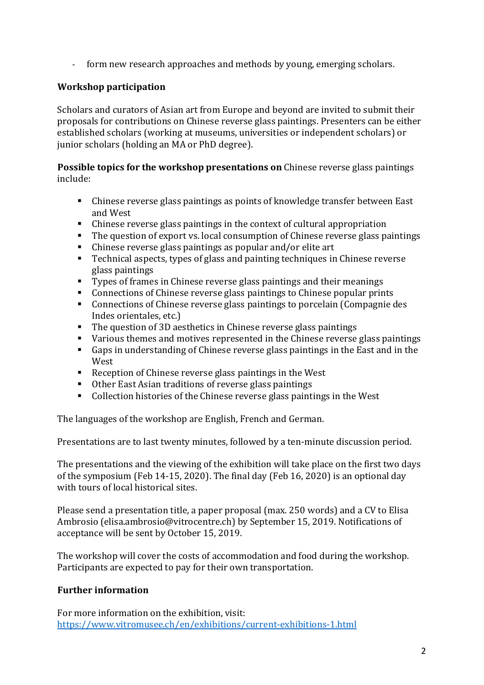- form new research approaches and methods by young, emerging scholars.

## **Workshop participation**

Scholars and curators of Asian art from Europe and beyond are invited to submit their proposals for contributions on Chinese reverse glass paintings. Presenters can be either established scholars (working at museums, universities or independent scholars) or junior scholars (holding an MA or PhD degree).

### **Possible topics for the workshop presentations on** Chinese reverse glass paintings include:

- Chinese reverse glass paintings as points of knowledge transfer between East and West
- Chinese reverse glass paintings in the context of cultural appropriation
- The question of export vs. local consumption of Chinese reverse glass paintings
- Chinese reverse glass paintings as popular and/or elite art
- Technical aspects, types of glass and painting techniques in Chinese reverse glass paintings
- Types of frames in Chinese reverse glass paintings and their meanings
- Connections of Chinese reverse glass paintings to Chinese popular prints
- Connections of Chinese reverse glass paintings to porcelain (Compagnie des Indes orientales, etc.)
- The question of 3D aesthetics in Chinese reverse glass paintings
- Various themes and motives represented in the Chinese reverse glass paintings
- Gaps in understanding of Chinese reverse glass paintings in the East and in the West
- Reception of Chinese reverse glass paintings in the West
- Other East Asian traditions of reverse glass paintings
- Collection histories of the Chinese reverse glass paintings in the West

The languages of the workshop are English, French and German.

Presentations are to last twenty minutes, followed by a ten-minute discussion period.

The presentations and the viewing of the exhibition will take place on the first two days of the symposium (Feb 14-15, 2020). The final day (Feb 16, 2020) is an optional day with tours of local historical sites.

Please send a presentation title, a paper proposal (max. 250 words) and a CV to Elisa Ambrosio (elisa.ambrosio@vitrocentre.ch) by September 15, 2019. Notifications of acceptance will be sent by October 15, 2019.

The workshop will cover the costs of accommodation and food during the workshop. Participants are expected to pay for their own transportation.

# **Further information**

For more information on the exhibition, visit: https://www.vitromusee.ch/en/exhibitions/current-exhibitions-1.html